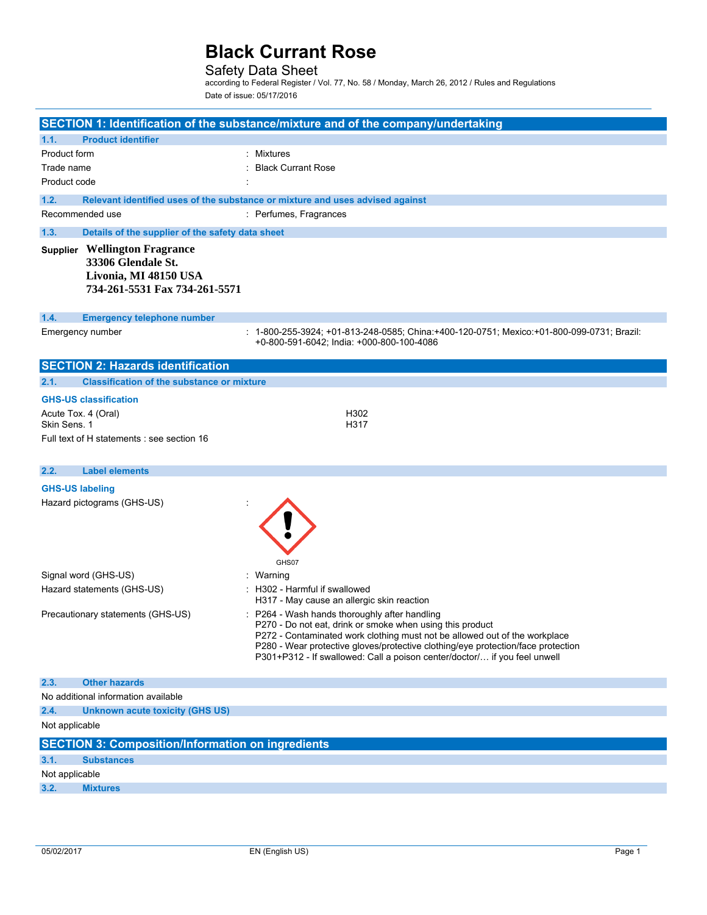## Safety Data Sheet

according to Federal Register / Vol. 77, No. 58 / Monday, March 26, 2012 / Rules and Regulations Date of issue: 05/17/2016

|                                     |                                                                                                                      | SECTION 1: Identification of the substance/mixture and of the company/undertaking                                                                                                                                                                                                                                                                                                                       |
|-------------------------------------|----------------------------------------------------------------------------------------------------------------------|---------------------------------------------------------------------------------------------------------------------------------------------------------------------------------------------------------------------------------------------------------------------------------------------------------------------------------------------------------------------------------------------------------|
| 1.1.                                | <b>Product identifier</b>                                                                                            |                                                                                                                                                                                                                                                                                                                                                                                                         |
| Product form                        |                                                                                                                      | : Mixtures                                                                                                                                                                                                                                                                                                                                                                                              |
| Trade name                          |                                                                                                                      | <b>Black Currant Rose</b>                                                                                                                                                                                                                                                                                                                                                                               |
| Product code                        |                                                                                                                      |                                                                                                                                                                                                                                                                                                                                                                                                         |
| 1.2.                                |                                                                                                                      | Relevant identified uses of the substance or mixture and uses advised against                                                                                                                                                                                                                                                                                                                           |
|                                     | Recommended use                                                                                                      | : Perfumes, Fragrances                                                                                                                                                                                                                                                                                                                                                                                  |
| 1.3.                                | Details of the supplier of the safety data sheet                                                                     |                                                                                                                                                                                                                                                                                                                                                                                                         |
|                                     | <b>Supplier Wellington Fragrance</b><br>33306 Glendale St.<br>Livonia, MI 48150 USA<br>734-261-5531 Fax 734-261-5571 |                                                                                                                                                                                                                                                                                                                                                                                                         |
| 1.4.                                | <b>Emergency telephone number</b>                                                                                    |                                                                                                                                                                                                                                                                                                                                                                                                         |
|                                     | Emergency number                                                                                                     | : 1-800-255-3924; +01-813-248-0585; China:+400-120-0751; Mexico:+01-800-099-0731; Brazil:<br>+0-800-591-6042; India: +000-800-100-4086                                                                                                                                                                                                                                                                  |
|                                     | <b>SECTION 2: Hazards identification</b>                                                                             |                                                                                                                                                                                                                                                                                                                                                                                                         |
| 2.1.                                | <b>Classification of the substance or mixture</b>                                                                    |                                                                                                                                                                                                                                                                                                                                                                                                         |
|                                     | <b>GHS-US classification</b>                                                                                         |                                                                                                                                                                                                                                                                                                                                                                                                         |
| Acute Tox. 4 (Oral)<br>Skin Sens. 1 |                                                                                                                      | H302<br>H317                                                                                                                                                                                                                                                                                                                                                                                            |
|                                     | Full text of H statements : see section 16                                                                           |                                                                                                                                                                                                                                                                                                                                                                                                         |
|                                     |                                                                                                                      |                                                                                                                                                                                                                                                                                                                                                                                                         |
| 2.2.                                | <b>Label elements</b>                                                                                                |                                                                                                                                                                                                                                                                                                                                                                                                         |
| <b>GHS-US labeling</b>              |                                                                                                                      |                                                                                                                                                                                                                                                                                                                                                                                                         |
|                                     | Hazard pictograms (GHS-US)                                                                                           | GHS07                                                                                                                                                                                                                                                                                                                                                                                                   |
|                                     | Signal word (GHS-US)                                                                                                 | : Warning                                                                                                                                                                                                                                                                                                                                                                                               |
|                                     | Hazard statements (GHS-US)                                                                                           | : H302 - Harmful if swallowed                                                                                                                                                                                                                                                                                                                                                                           |
|                                     | Precautionary statements (GHS-US)                                                                                    | H317 - May cause an allergic skin reaction<br>: P264 - Wash hands thoroughly after handling<br>P270 - Do not eat, drink or smoke when using this product<br>P272 - Contaminated work clothing must not be allowed out of the workplace<br>P280 - Wear protective gloves/protective clothing/eye protection/face protection<br>P301+P312 - If swallowed: Call a poison center/doctor/ if you feel unwell |
| 2.3.                                | <b>Other hazards</b>                                                                                                 |                                                                                                                                                                                                                                                                                                                                                                                                         |
|                                     | No additional information available                                                                                  |                                                                                                                                                                                                                                                                                                                                                                                                         |
| 2.4.                                | <b>Unknown acute toxicity (GHS US)</b>                                                                               |                                                                                                                                                                                                                                                                                                                                                                                                         |
| Not applicable                      |                                                                                                                      |                                                                                                                                                                                                                                                                                                                                                                                                         |
|                                     | <b>SECTION 3: Composition/Information on ingredients</b>                                                             |                                                                                                                                                                                                                                                                                                                                                                                                         |
| 3.1.                                | <b>Substances</b>                                                                                                    |                                                                                                                                                                                                                                                                                                                                                                                                         |
| Not applicable                      |                                                                                                                      |                                                                                                                                                                                                                                                                                                                                                                                                         |
| 3.2.                                | <b>Mixtures</b>                                                                                                      |                                                                                                                                                                                                                                                                                                                                                                                                         |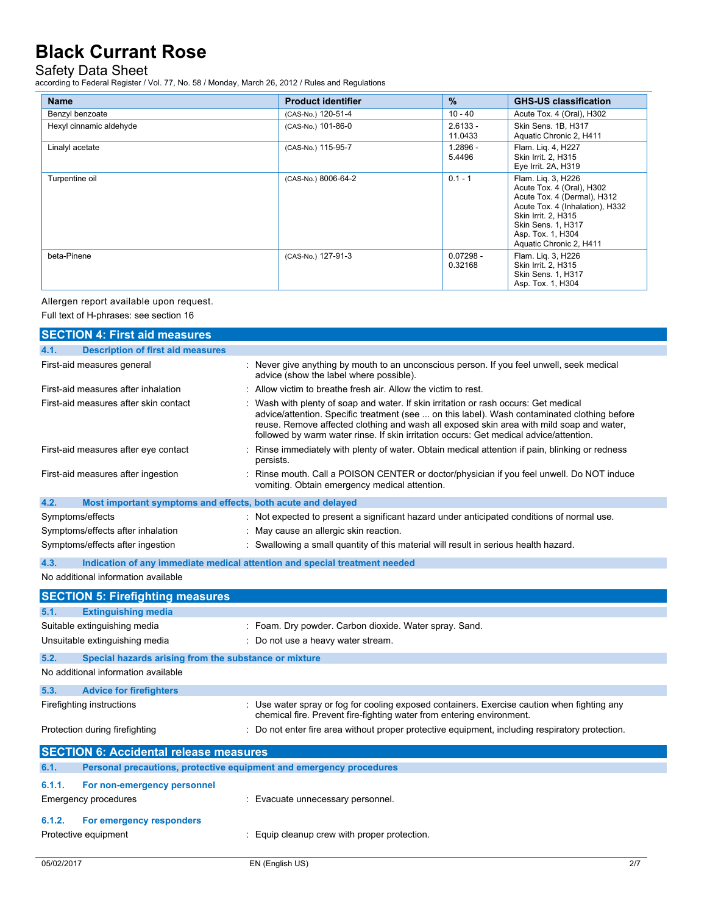### Safety Data Sheet

according to Federal Register / Vol. 77, No. 58 / Monday, March 26, 2012 / Rules and Regulations

| <b>Name</b>             | <b>Product identifier</b> | $\frac{9}{6}$          | <b>GHS-US classification</b>                                                                                                                                                                                   |
|-------------------------|---------------------------|------------------------|----------------------------------------------------------------------------------------------------------------------------------------------------------------------------------------------------------------|
| Benzyl benzoate         | (CAS-No.) 120-51-4        | $10 - 40$              | Acute Tox. 4 (Oral), H302                                                                                                                                                                                      |
| Hexyl cinnamic aldehyde | (CAS-No.) 101-86-0        | $2.6133 -$<br>11.0433  | Skin Sens. 1B, H317<br>Aquatic Chronic 2, H411                                                                                                                                                                 |
| Linalyl acetate         | (CAS-No.) 115-95-7        | $1.2896 -$<br>5.4496   | Flam. Lig. 4, H227<br>Skin Irrit. 2, H315<br>Eye Irrit. 2A, H319                                                                                                                                               |
| Turpentine oil          | (CAS-No.) 8006-64-2       | $0.1 - 1$              | Flam. Lig. 3, H226<br>Acute Tox. 4 (Oral), H302<br>Acute Tox. 4 (Dermal), H312<br>Acute Tox. 4 (Inhalation), H332<br>Skin Irrit. 2. H315<br>Skin Sens. 1, H317<br>Asp. Tox. 1, H304<br>Aquatic Chronic 2, H411 |
| beta-Pinene             | (CAS-No.) 127-91-3        | $0.07298 -$<br>0.32168 | Flam. Lig. 3, H226<br>Skin Irrit. 2, H315<br>Skin Sens. 1, H317<br>Asp. Tox. 1, H304                                                                                                                           |

### Allergen report available upon request.

Full text of H-phrases: see section 16

|        | <b>SECTION 4: First aid measures</b>                                       |                                                                                                                                                                                                                                                                                                                                                                          |
|--------|----------------------------------------------------------------------------|--------------------------------------------------------------------------------------------------------------------------------------------------------------------------------------------------------------------------------------------------------------------------------------------------------------------------------------------------------------------------|
| 4.1.   | <b>Description of first aid measures</b>                                   |                                                                                                                                                                                                                                                                                                                                                                          |
|        | First-aid measures general                                                 | : Never give anything by mouth to an unconscious person. If you feel unwell, seek medical<br>advice (show the label where possible).                                                                                                                                                                                                                                     |
|        | First-aid measures after inhalation                                        | Allow victim to breathe fresh air. Allow the victim to rest.                                                                                                                                                                                                                                                                                                             |
|        | First-aid measures after skin contact                                      | Wash with plenty of soap and water. If skin irritation or rash occurs: Get medical<br>advice/attention. Specific treatment (see  on this label). Wash contaminated clothing before<br>reuse. Remove affected clothing and wash all exposed skin area with mild soap and water,<br>followed by warm water rinse. If skin irritation occurs: Get medical advice/attention. |
|        | First-aid measures after eye contact                                       | Rinse immediately with plenty of water. Obtain medical attention if pain, blinking or redness<br>persists.                                                                                                                                                                                                                                                               |
|        | First-aid measures after ingestion                                         | Rinse mouth. Call a POISON CENTER or doctor/physician if you feel unwell. Do NOT induce<br>vomiting. Obtain emergency medical attention.                                                                                                                                                                                                                                 |
| 4.2.   | Most important symptoms and effects, both acute and delayed                |                                                                                                                                                                                                                                                                                                                                                                          |
|        | Symptoms/effects                                                           | : Not expected to present a significant hazard under anticipated conditions of normal use.                                                                                                                                                                                                                                                                               |
|        | Symptoms/effects after inhalation                                          | May cause an allergic skin reaction.                                                                                                                                                                                                                                                                                                                                     |
|        | Symptoms/effects after ingestion                                           | : Swallowing a small quantity of this material will result in serious health hazard.                                                                                                                                                                                                                                                                                     |
| 4.3.   | Indication of any immediate medical attention and special treatment needed |                                                                                                                                                                                                                                                                                                                                                                          |
|        | No additional information available                                        |                                                                                                                                                                                                                                                                                                                                                                          |
|        |                                                                            |                                                                                                                                                                                                                                                                                                                                                                          |
|        |                                                                            |                                                                                                                                                                                                                                                                                                                                                                          |
| 5.1.   | <b>SECTION 5: Firefighting measures</b><br><b>Extinguishing media</b>      |                                                                                                                                                                                                                                                                                                                                                                          |
|        | Suitable extinguishing media                                               | : Foam. Dry powder. Carbon dioxide. Water spray. Sand.                                                                                                                                                                                                                                                                                                                   |
|        | Unsuitable extinguishing media                                             | : Do not use a heavy water stream.                                                                                                                                                                                                                                                                                                                                       |
| 5.2.   | Special hazards arising from the substance or mixture                      |                                                                                                                                                                                                                                                                                                                                                                          |
|        | No additional information available                                        |                                                                                                                                                                                                                                                                                                                                                                          |
| 5.3.   | <b>Advice for firefighters</b>                                             |                                                                                                                                                                                                                                                                                                                                                                          |
|        | Firefighting instructions                                                  | : Use water spray or fog for cooling exposed containers. Exercise caution when fighting any<br>chemical fire. Prevent fire-fighting water from entering environment.                                                                                                                                                                                                     |
|        | Protection during firefighting                                             | : Do not enter fire area without proper protective equipment, including respiratory protection.                                                                                                                                                                                                                                                                          |
|        | <b>SECTION 6: Accidental release measures</b>                              |                                                                                                                                                                                                                                                                                                                                                                          |
| 6.1.   | Personal precautions, protective equipment and emergency procedures        |                                                                                                                                                                                                                                                                                                                                                                          |
| 6.1.1. |                                                                            |                                                                                                                                                                                                                                                                                                                                                                          |
|        | For non-emergency personnel<br>Emergency procedures                        | : Evacuate unnecessary personnel.                                                                                                                                                                                                                                                                                                                                        |
|        |                                                                            |                                                                                                                                                                                                                                                                                                                                                                          |
| 6.1.2. | For emergency responders<br>Protective equipment                           | : Equip cleanup crew with proper protection.                                                                                                                                                                                                                                                                                                                             |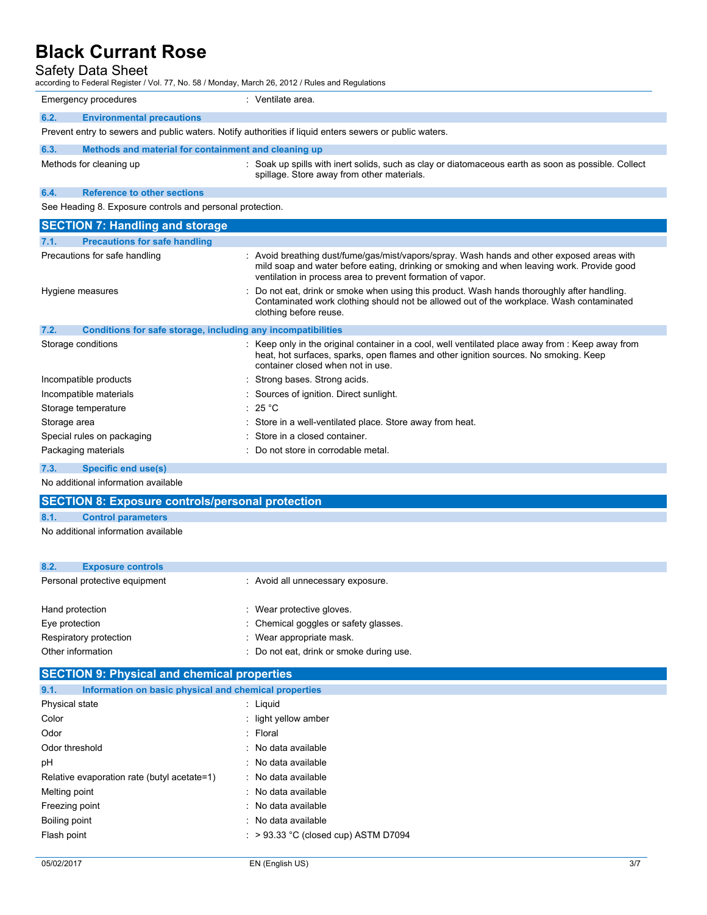### Safety Data Sheet

| Safety Data Sheet<br>according to Federal Register / Vol. 77, No. 58 / Monday, March 26, 2012 / Rules and Regulations |                                                                                                                                                                                                                                                        |
|-----------------------------------------------------------------------------------------------------------------------|--------------------------------------------------------------------------------------------------------------------------------------------------------------------------------------------------------------------------------------------------------|
| Emergency procedures                                                                                                  | : Ventilate area.                                                                                                                                                                                                                                      |
| 6.2.<br><b>Environmental precautions</b>                                                                              |                                                                                                                                                                                                                                                        |
| Prevent entry to sewers and public waters. Notify authorities if liquid enters sewers or public waters.               |                                                                                                                                                                                                                                                        |
| 6.3.<br>Methods and material for containment and cleaning up                                                          |                                                                                                                                                                                                                                                        |
| Methods for cleaning up                                                                                               | : Soak up spills with inert solids, such as clay or diatomaceous earth as soon as possible. Collect<br>spillage. Store away from other materials.                                                                                                      |
| <b>Reference to other sections</b><br>6.4.                                                                            |                                                                                                                                                                                                                                                        |
| See Heading 8. Exposure controls and personal protection.                                                             |                                                                                                                                                                                                                                                        |
| <b>SECTION 7: Handling and storage</b>                                                                                |                                                                                                                                                                                                                                                        |
| <b>Precautions for safe handling</b><br>7.1.                                                                          |                                                                                                                                                                                                                                                        |
| Precautions for safe handling                                                                                         | : Avoid breathing dust/fume/gas/mist/vapors/spray. Wash hands and other exposed areas with<br>mild soap and water before eating, drinking or smoking and when leaving work. Provide good<br>ventilation in process area to prevent formation of vapor. |
| Hygiene measures                                                                                                      | Do not eat, drink or smoke when using this product. Wash hands thoroughly after handling.<br>Contaminated work clothing should not be allowed out of the workplace. Wash contaminated<br>clothing before reuse.                                        |
| 7.2.<br>Conditions for safe storage, including any incompatibilities                                                  |                                                                                                                                                                                                                                                        |
| Storage conditions                                                                                                    | : Keep only in the original container in a cool, well ventilated place away from : Keep away from<br>heat, hot surfaces, sparks, open flames and other ignition sources. No smoking. Keep<br>container closed when not in use.                         |
| Incompatible products                                                                                                 | : Strong bases. Strong acids.                                                                                                                                                                                                                          |
| Incompatible materials                                                                                                | : Sources of ignition. Direct sunlight.                                                                                                                                                                                                                |
| Storage temperature                                                                                                   | : 25 °C                                                                                                                                                                                                                                                |
| Storage area                                                                                                          | Store in a well-ventilated place. Store away from heat.                                                                                                                                                                                                |
| Special rules on packaging                                                                                            | Store in a closed container.                                                                                                                                                                                                                           |
| Packaging materials                                                                                                   | : Do not store in corrodable metal.                                                                                                                                                                                                                    |
| <b>Consiliand unalel</b><br>72                                                                                        |                                                                                                                                                                                                                                                        |

#### **7.3. Specific end use(s)**

No additional information available

# **SECTION 8: Exposure controls/personal protection**

### **8.1. Control parameters**

No additional information available

| 8.2.<br><b>Exposure controls</b> |                                          |
|----------------------------------|------------------------------------------|
| Personal protective equipment    | : Avoid all unnecessary exposure.        |
| Hand protection                  | : Wear protective gloves.                |
| Eye protection                   | : Chemical goggles or safety glasses.    |
| Respiratory protection           | : Wear appropriate mask.                 |
| Other information                | : Do not eat, drink or smoke during use. |
|                                  |                                          |

# **SECTION 9: Physical and chemical properties**

| 9.1.<br>Information on basic physical and chemical properties |                                        |
|---------------------------------------------------------------|----------------------------------------|
| Physical state                                                | : Liquid                               |
| Color                                                         | : light yellow amber                   |
| Odor                                                          | : Floral                               |
| Odor threshold                                                | : No data available                    |
| рH                                                            | : No data available                    |
| Relative evaporation rate (butyl acetate=1)                   | : No data available                    |
| Melting point                                                 | : No data available                    |
| Freezing point                                                | : No data available                    |
| Boiling point                                                 | : No data available                    |
| Flash point                                                   | $:$ > 93.33 °C (closed cup) ASTM D7094 |
|                                                               |                                        |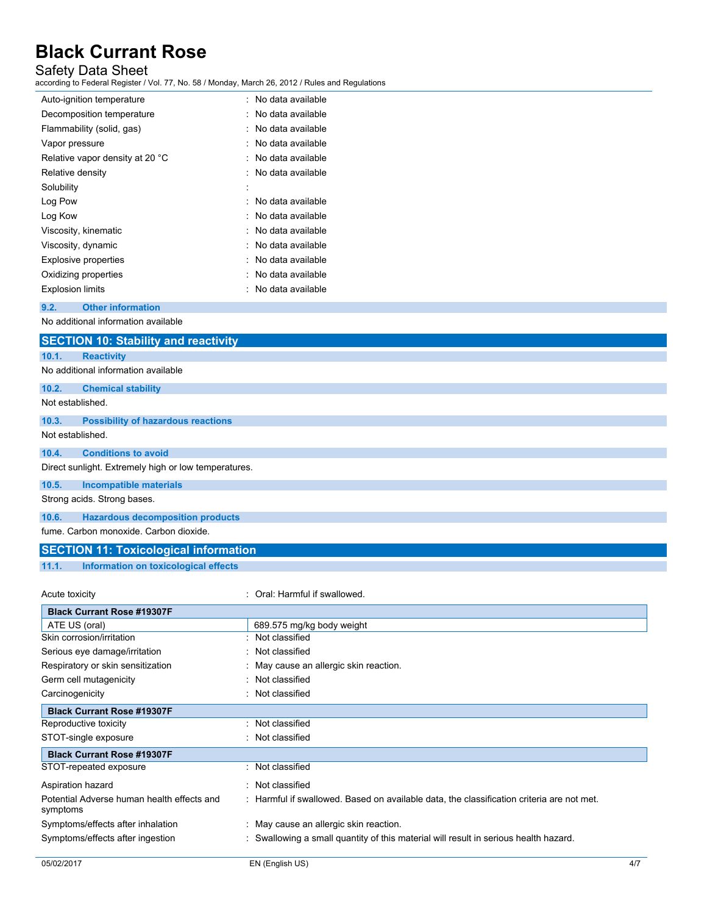# Safety Data Sheet

according to Federal Register / Vol. 77, No. 58 / Monday, March 26, 2012 / Rules and Regulations

| Auto-ignition temperature       | No data available |
|---------------------------------|-------------------|
| Decomposition temperature       | No data available |
| Flammability (solid, gas)       | No data available |
| Vapor pressure                  | No data available |
| Relative vapor density at 20 °C | No data available |
| Relative density                | No data available |
| Solubility                      |                   |
| Log Pow                         | No data available |
| Log Kow                         | No data available |
| Viscosity, kinematic            | No data available |
| Viscosity, dynamic              | No data available |
| <b>Explosive properties</b>     | No data available |
| Oxidizing properties            | No data available |
| <b>Explosion limits</b>         | No data available |

**9.2. Other information**

No additional information available

|                  | <b>SECTION 10: Stability and reactivity</b>          |
|------------------|------------------------------------------------------|
| 10.1.            | <b>Reactivity</b>                                    |
|                  | No additional information available                  |
| 10.2.            | <b>Chemical stability</b>                            |
| Not established. |                                                      |
| 10.3.            | <b>Possibility of hazardous reactions</b>            |
| Not established. |                                                      |
| 10.4.            | <b>Conditions to avoid</b>                           |
|                  | Direct sunlight. Extremely high or low temperatures. |
| 10.5.            | <b>Incompatible materials</b>                        |
|                  | Strong acids. Strong bases.                          |
| 10.6.            | <b>Hazardous decomposition products</b>              |
|                  | fume, Carbon monoxide, Carbon dioxide,               |

# **SECTION 11: Toxicological information**

**11.1. Information on toxicological effects**

| Acute toxicity                                         | Oral: Harmful if swallowed.                                                               |     |
|--------------------------------------------------------|-------------------------------------------------------------------------------------------|-----|
| <b>Black Currant Rose #19307F</b>                      |                                                                                           |     |
| ATE US (oral)                                          | 689.575 mg/kg body weight                                                                 |     |
| Skin corrosion/irritation                              | Not classified                                                                            |     |
| Serious eye damage/irritation                          | Not classified                                                                            |     |
| Respiratory or skin sensitization                      | : May cause an allergic skin reaction.                                                    |     |
| Germ cell mutagenicity                                 | Not classified                                                                            |     |
| Carcinogenicity                                        | Not classified                                                                            |     |
| <b>Black Currant Rose #19307F</b>                      |                                                                                           |     |
| Reproductive toxicity                                  | Not classified                                                                            |     |
| STOT-single exposure                                   | : Not classified                                                                          |     |
| <b>Black Currant Rose #19307F</b>                      |                                                                                           |     |
| STOT-repeated exposure                                 | Not classified                                                                            |     |
| Aspiration hazard                                      | : Not classified                                                                          |     |
| Potential Adverse human health effects and<br>symptoms | : Harmful if swallowed. Based on available data, the classification criteria are not met. |     |
| Symptoms/effects after inhalation                      | : May cause an allergic skin reaction.                                                    |     |
| Symptoms/effects after ingestion                       | Swallowing a small quantity of this material will result in serious health hazard.        |     |
| 05/02/2017                                             | EN (English US)                                                                           | 4/7 |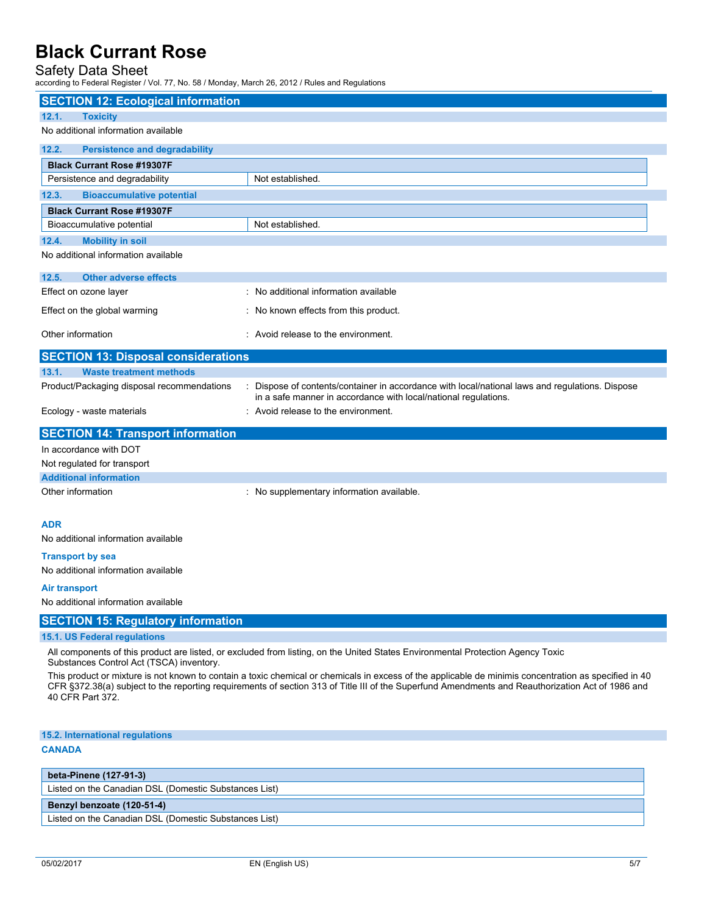# Safety Data Sheet

according to Federal Register / Vol. 77, No. 58 / Monday, March 26, 2012 / Rules and Regulations

| <b>SECTION 12: Ecological information</b>     |                                                                                                                                                                                                                                                                                                           |
|-----------------------------------------------|-----------------------------------------------------------------------------------------------------------------------------------------------------------------------------------------------------------------------------------------------------------------------------------------------------------|
| <b>Toxicity</b><br>12.1.                      |                                                                                                                                                                                                                                                                                                           |
| No additional information available           |                                                                                                                                                                                                                                                                                                           |
| 12.2.<br><b>Persistence and degradability</b> |                                                                                                                                                                                                                                                                                                           |
| <b>Black Currant Rose #19307F</b>             |                                                                                                                                                                                                                                                                                                           |
| Persistence and degradability                 | Not established.                                                                                                                                                                                                                                                                                          |
| 12.3.<br><b>Bioaccumulative potential</b>     |                                                                                                                                                                                                                                                                                                           |
| <b>Black Currant Rose #19307F</b>             |                                                                                                                                                                                                                                                                                                           |
| Bioaccumulative potential                     | Not established.                                                                                                                                                                                                                                                                                          |
| 12.4.<br><b>Mobility in soil</b>              |                                                                                                                                                                                                                                                                                                           |
| No additional information available           |                                                                                                                                                                                                                                                                                                           |
| 12.5.<br><b>Other adverse effects</b>         |                                                                                                                                                                                                                                                                                                           |
| Effect on ozone layer                         | : No additional information available                                                                                                                                                                                                                                                                     |
| Effect on the global warming                  | : No known effects from this product.                                                                                                                                                                                                                                                                     |
|                                               |                                                                                                                                                                                                                                                                                                           |
| Other information                             | : Avoid release to the environment.                                                                                                                                                                                                                                                                       |
| <b>SECTION 13: Disposal considerations</b>    |                                                                                                                                                                                                                                                                                                           |
| <b>Waste treatment methods</b><br>13.1.       |                                                                                                                                                                                                                                                                                                           |
| Product/Packaging disposal recommendations    | : Dispose of contents/container in accordance with local/national laws and regulations. Dispose<br>in a safe manner in accordance with local/national regulations.                                                                                                                                        |
| Ecology - waste materials                     | : Avoid release to the environment.                                                                                                                                                                                                                                                                       |
| <b>SECTION 14: Transport information</b>      |                                                                                                                                                                                                                                                                                                           |
| In accordance with DOT                        |                                                                                                                                                                                                                                                                                                           |
| Not regulated for transport                   |                                                                                                                                                                                                                                                                                                           |
| <b>Additional information</b>                 |                                                                                                                                                                                                                                                                                                           |
| Other information                             | : No supplementary information available.                                                                                                                                                                                                                                                                 |
|                                               |                                                                                                                                                                                                                                                                                                           |
| <b>ADR</b>                                    |                                                                                                                                                                                                                                                                                                           |
| No additional information available           |                                                                                                                                                                                                                                                                                                           |
| <b>Transport by sea</b>                       |                                                                                                                                                                                                                                                                                                           |
| No additional information available           |                                                                                                                                                                                                                                                                                                           |
| Air transport                                 |                                                                                                                                                                                                                                                                                                           |
| No additional information available           |                                                                                                                                                                                                                                                                                                           |
| <b>SECTION 15: Regulatory information</b>     |                                                                                                                                                                                                                                                                                                           |
| 15.1. US Federal regulations                  |                                                                                                                                                                                                                                                                                                           |
| Substances Control Act (TSCA) inventory.      | All components of this product are listed, or excluded from listing, on the United States Environmental Protection Agency Toxic                                                                                                                                                                           |
| 40 CFR Part 372.                              | This product or mixture is not known to contain a toxic chemical or chemicals in excess of the applicable de minimis concentration as specified in 40<br>CFR §372.38(a) subject to the reporting requirements of section 313 of Title III of the Superfund Amendments and Reauthorization Act of 1986 and |
| 15.2. International regulations               |                                                                                                                                                                                                                                                                                                           |
| <b>CANADA</b>                                 |                                                                                                                                                                                                                                                                                                           |
| beta-Pinene (127-91-3)                        |                                                                                                                                                                                                                                                                                                           |

Listed on the Canadian DSL (Domestic Substances List)

### **Benzyl benzoate (120-51-4)**

Listed on the Canadian DSL (Domestic Substances List)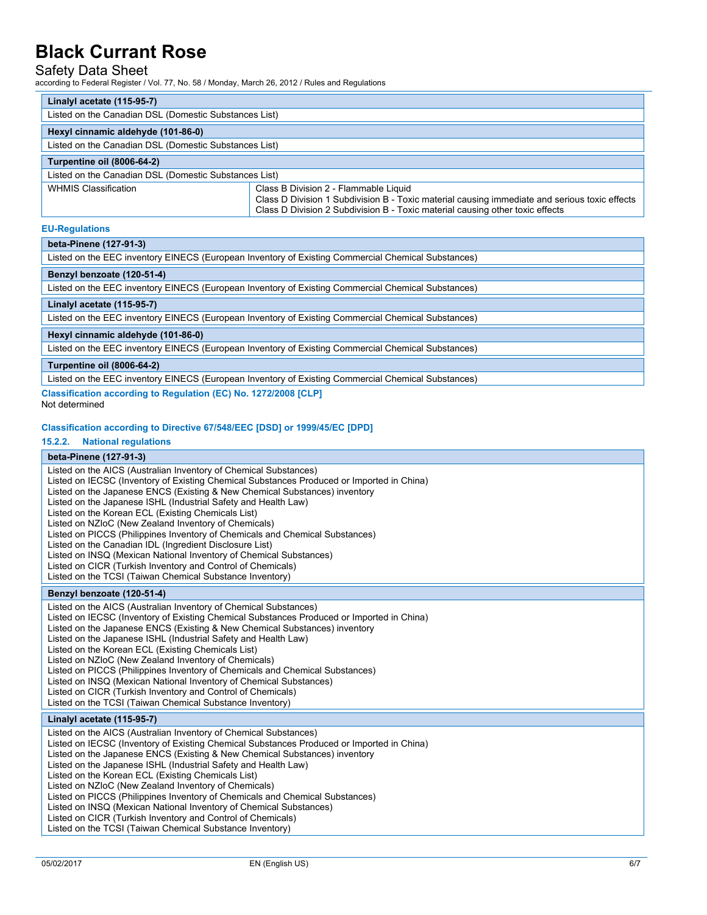### Safety Data Sheet

according to Federal Register / Vol. 77, No. 58 / Monday, March 26, 2012 / Rules and Regulations

| Linalyl acetate (115-95-7)                            |                                                                                                                                                                                                                         |  |
|-------------------------------------------------------|-------------------------------------------------------------------------------------------------------------------------------------------------------------------------------------------------------------------------|--|
| Listed on the Canadian DSL (Domestic Substances List) |                                                                                                                                                                                                                         |  |
| Hexyl cinnamic aldehyde (101-86-0)                    |                                                                                                                                                                                                                         |  |
| Listed on the Canadian DSL (Domestic Substances List) |                                                                                                                                                                                                                         |  |
| <b>Turpentine oil (8006-64-2)</b>                     |                                                                                                                                                                                                                         |  |
| Listed on the Canadian DSL (Domestic Substances List) |                                                                                                                                                                                                                         |  |
| <b>WHMIS Classification</b>                           | Class B Division 2 - Flammable Liquid<br>Class D Division 1 Subdivision B - Toxic material causing immediate and serious toxic effects<br>Class D Division 2 Subdivision B - Toxic material causing other toxic effects |  |

#### **EU-Regulations**

# **beta-Pinene (127-91-3)**

| Listed on the EEC inventory EINECS (European Inventory of Existing Commercial Chemical Substances) |
|----------------------------------------------------------------------------------------------------|
| Benzyl benzoate (120-51-4)                                                                         |
| Listed on the EEC inventory EINECS (European Inventory of Existing Commercial Chemical Substances) |
| Linalyl acetate (115-95-7)                                                                         |
| Listed on the EEC inventory EINECS (European Inventory of Existing Commercial Chemical Substances) |
| Hexyl cinnamic aldehyde (101-86-0)                                                                 |
| Listed on the EEC inventory EINECS (European Inventory of Existing Commercial Chemical Substances) |
| <b>Turpentine oil (8006-64-2)</b>                                                                  |
| Listed on the EEC inventory EINECS (European Inventory of Existing Commercial Chemical Substances) |
| Classification according to Regulation (EC) No. 1272/2008 [CLP]                                    |

Not determined

#### **Classification according to Directive 67/548/EEC [DSD] or 1999/45/EC [DPD]**

#### **15.2.2. National regulations**

#### **beta-Pinene (127-91-3)**

Listed on the AICS (Australian Inventory of Chemical Substances)

- Listed on IECSC (Inventory of Existing Chemical Substances Produced or Imported in China)
- Listed on the Japanese ENCS (Existing & New Chemical Substances) inventory
- Listed on the Japanese ISHL (Industrial Safety and Health Law) Listed on the Korean ECL (Existing Chemicals List)
- Listed on NZIoC (New Zealand Inventory of Chemicals)
- Listed on PICCS (Philippines Inventory of Chemicals and Chemical Substances)
- Listed on the Canadian IDL (Ingredient Disclosure List)
- Listed on INSQ (Mexican National Inventory of Chemical Substances)
- Listed on CICR (Turkish Inventory and Control of Chemicals)
- Listed on the TCSI (Taiwan Chemical Substance Inventory)

#### **Benzyl benzoate (120-51-4)**

Listed on the AICS (Australian Inventory of Chemical Substances)

- Listed on IECSC (Inventory of Existing Chemical Substances Produced or Imported in China)
- Listed on the Japanese ENCS (Existing & New Chemical Substances) inventory
- Listed on the Japanese ISHL (Industrial Safety and Health Law)
- Listed on the Korean ECL (Existing Chemicals List)
- Listed on NZIoC (New Zealand Inventory of Chemicals)
- Listed on PICCS (Philippines Inventory of Chemicals and Chemical Substances)
- Listed on INSQ (Mexican National Inventory of Chemical Substances)
- Listed on CICR (Turkish Inventory and Control of Chemicals)
- Listed on the TCSI (Taiwan Chemical Substance Inventory)

### **Linalyl acetate (115-95-7)**

Listed on the AICS (Australian Inventory of Chemical Substances) Listed on IECSC (Inventory of Existing Chemical Substances Produced or Imported in China) Listed on the Japanese ENCS (Existing & New Chemical Substances) inventory Listed on the Japanese ISHL (Industrial Safety and Health Law) Listed on the Korean ECL (Existing Chemicals List) Listed on NZIoC (New Zealand Inventory of Chemicals) Listed on PICCS (Philippines Inventory of Chemicals and Chemical Substances) Listed on INSQ (Mexican National Inventory of Chemical Substances) Listed on CICR (Turkish Inventory and Control of Chemicals) Listed on the TCSI (Taiwan Chemical Substance Inventory)